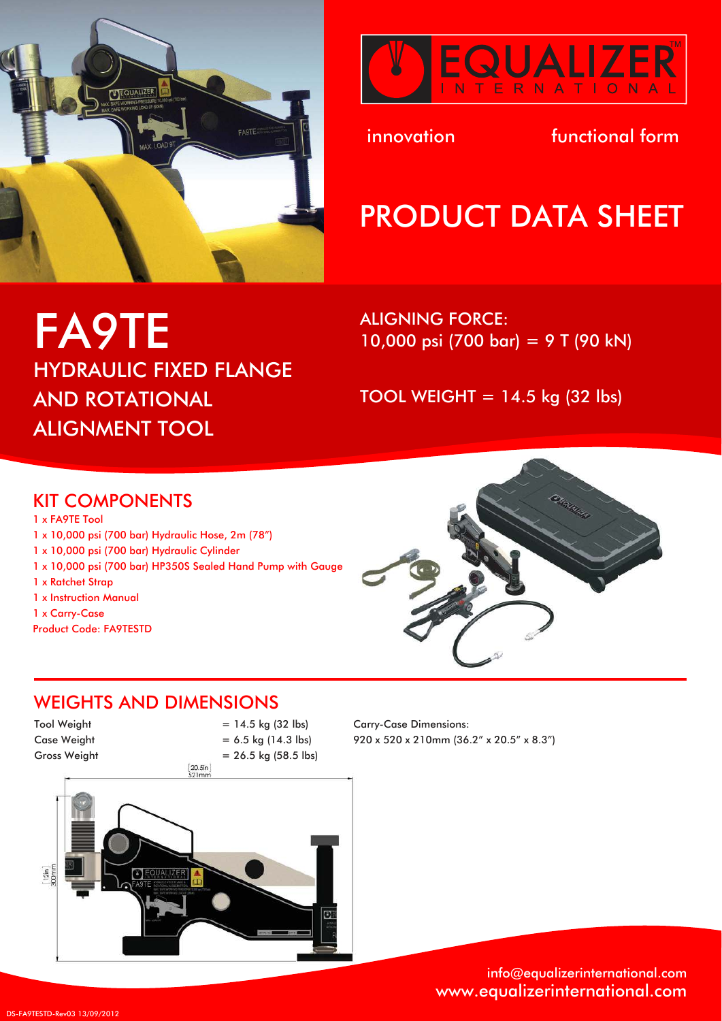



innovation in tunctional form

# PRODUCT DATA SHEET

FA9TE HYDRAULIC FIXED FLANGE AND ROTATIONAL ALIGNMENT TOOL

ALIGNING FORCE: 10,000 psi (700 bar) = 9 T (90 kN)

TOOL WEIGHT =  $14.5$  kg (32 lbs)

#### KIT COMPONENTS

1 x FA9TE Tool 1 x 10,000 psi (700 bar) Hydraulic Hose, 2m (78") 1 x 10,000 psi (700 bar) Hydraulic Cylinder 1 x 10,000 psi (700 bar) HP350S Sealed Hand Pump with Gauge 1 x Ratchet Strap 1 x Instruction Manual 1 x Carry-Case

Product Code: FA9TESTD



### WEIGHTS AND DIMENSIONS

 $Tool Weight = 14.5 kg (32 lbs)$ Case Weight  $= 6.5$  kg (14.3 lbs)



Carry-Case Dimensions: 920 x 520 x 210mm (36.2" x 20.5" x 8.3")

> info@equalizerinternational.com www.equalizerinternational.com